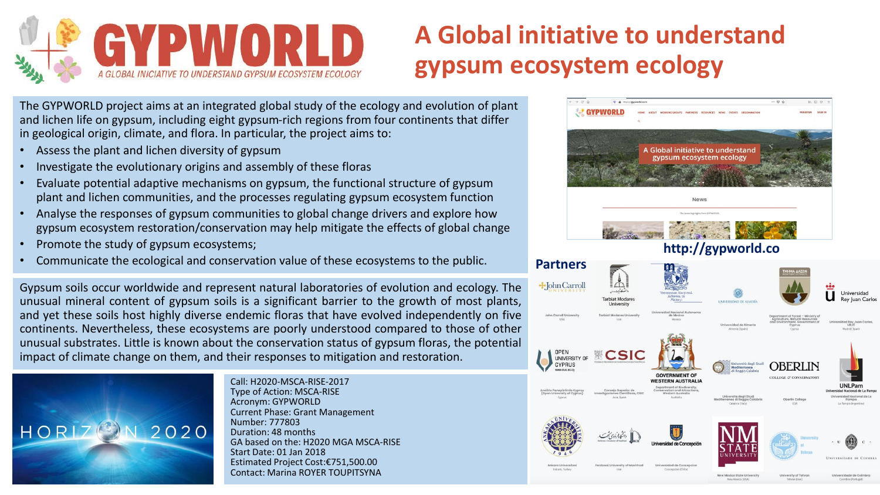

## **A Global initiative to understand gypsum ecosystem ecology**

The GYPWORLD project aims at an integrated global study of the ecology and evolution of plant and lichen life on gypsum, including eight gypsum-rich regions from four continents that differ in geological origin, climate, and flora. In particular, the project aims to:

- Assess the plant and lichen diversity of gypsum
- Investigate the evolutionary origins and assembly of these floras
- Evaluate potential adaptive mechanisms on gypsum, the functional structure of gypsum plant and lichen communities, and the processes regulating gypsum ecosystem function
- Analyse the responses of gypsum communities to global change drivers and explore how gypsum ecosystem restoration/conservation may help mitigate the effects of global change
- Promote the study of gypsum ecosystems;
- Communicate the ecological and conservation value of these ecosystems to the public.

Gypsum soils occur worldwide and represent natural laboratories of evolution and ecology. The unusual mineral content of gypsum soils is a significant barrier to the growth of most plants, and yet these soils host highly diverse endemic floras that have evolved independently on five continents. Nevertheless, these ecosystems are poorly understood compared to those of other unusual substrates. Little is known about the conservation status of gypsum floras, the potential impact of climate change on them, and their responses to mitigation and restoration.



Call: H2020-MSCA-RISE-2017 Type of Action: MSCA-RISE Acronym: GYPWORLD Current Phase: Grant Management Number: 777803 Duration: 48 months GA based on the: H2020 MGA MSCA-RISE Start Date: 01 Jan 2018 Estimated Project Cost:€751,500.00 Contact: Marina ROYER TOUPITSYNA